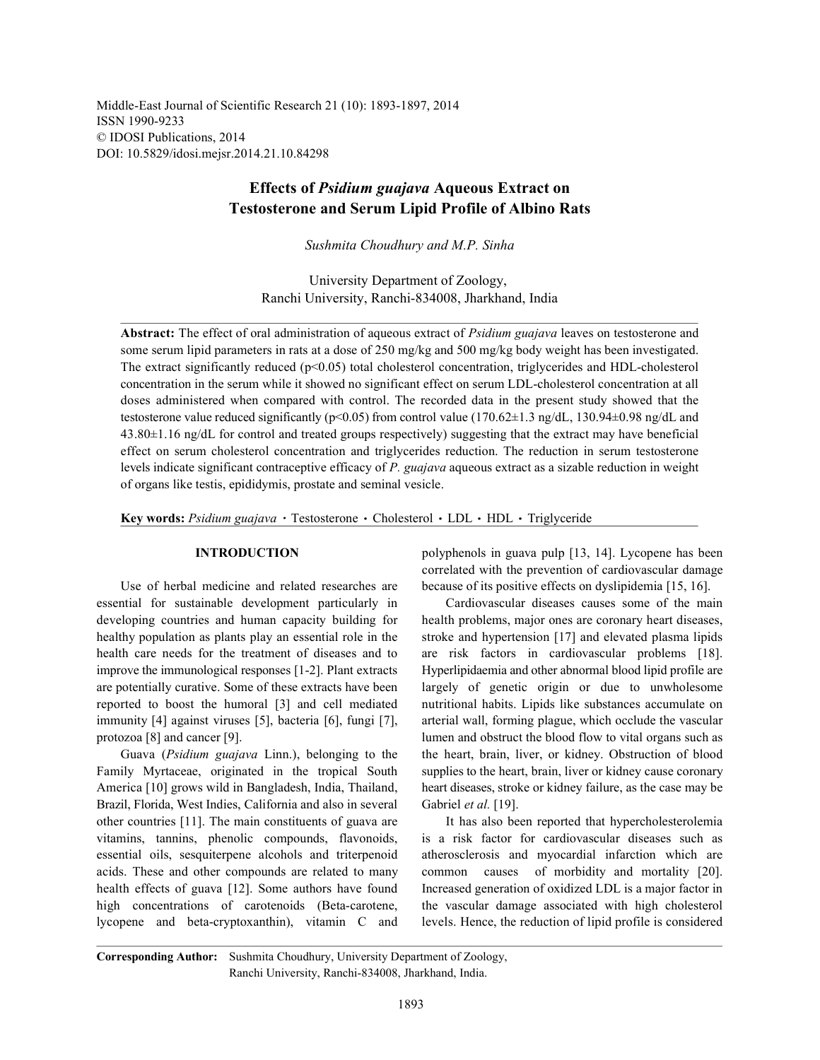Middle-East Journal of Scientific Research 21 (10): 1893-1897, 2014 ISSN 1990-9233 © IDOSI Publications, 2014 DOI: 10.5829/idosi.mejsr.2014.21.10.84298

# **Effects of** *Psidium guajava* **Aqueous Extract on Testosterone and Serum Lipid Profile of Albino Rats**

*Sushmita Choudhury and M.P. Sinha*

University Department of Zoology, Ranchi University, Ranchi-834008, Jharkhand, India

**Abstract:** The effect of oral administration of aqueous extract of *Psidium guajava* leaves on testosterone and some serum lipid parameters in rats at a dose of 250 mg/kg and 500 mg/kg body weight has been investigated. The extract significantly reduced (p<0.05) total cholesterol concentration, triglycerides and HDL-cholesterol concentration in the serum while it showed no significant effect on serum LDL-cholesterol concentration at all doses administered when compared with control. The recorded data in the present study showed that the testosterone value reduced significantly ( $p<0.05$ ) from control value (170.62 $\pm$ 1.3 ng/dL, 130.94 $\pm$ 0.98 ng/dL and 43.80±1.16 ng/dL for control and treated groups respectively) suggesting that the extract may have beneficial effect on serum cholesterol concentration and triglycerides reduction. The reduction in serum testosterone levels indicate significant contraceptive efficacy of *P. guajava* aqueous extract as a sizable reduction in weight of organs like testis, epididymis, prostate and seminal vesicle.

Key words: Psidium guajava · Testosterone · Cholesterol · LDL · HDL · Triglyceride

essential for sustainable development particularly in Cardiovascular diseases causes some of the main developing countries and human capacity building for health problems, major ones are coronary heart diseases, healthy population as plants play an essential role in the stroke and hypertension [17] and elevated plasma lipids health care needs for the treatment of diseases and to are risk factors in cardiovascular problems [18]. improve the immunological responses [1-2]. Plant extracts Hyperlipidaemia and other abnormal blood lipid profile are are potentially curative. Some of these extracts have been largely of genetic origin or due to unwholesome reported to boost the humoral [3] and cell mediated nutritional habits. Lipids like substances accumulate on immunity [4] against viruses [5], bacteria [6], fungi [7], arterial wall, forming plague, which occlude the vascular protozoa [8] and cancer [9]. lumen and obstruct the blood flow to vital organs such as

Family Myrtaceae, originated in the tropical South supplies to the heart, brain, liver or kidney cause coronary America [10] grows wild in Bangladesh, India, Thailand, heart diseases, stroke or kidney failure, as the case may be Brazil, Florida, West Indies, California and also in several Gabriel *et al.* [19]. other countries [11]. The main constituents of guava are It has also been reported that hypercholesterolemia vitamins, tannins, phenolic compounds, flavonoids, is a risk factor for cardiovascular diseases such as essential oils, sesquiterpene alcohols and triterpenoid atherosclerosis and myocardial infarction which are acids. These and other compounds are related to many common causes of morbidity and mortality [20]. health effects of guava [12]. Some authors have found Increased generation of oxidized LDL is a major factor in high concentrations of carotenoids (Beta-carotene, the vascular damage associated with high cholesterol lycopene and beta-cryptoxanthin), vitamin C and levels. Hence, the reduction of lipid profile is considered

**INTRODUCTION** polyphenols in guava pulp [13, 14]. Lycopene has been Use of herbal medicine and related researches are because of its positive effects on dyslipidemia [15, 16]. correlated with the prevention of cardiovascular damage

Guava (*Psidium guajava* Linn.), belonging to the the heart, brain, liver, or kidney. Obstruction of blood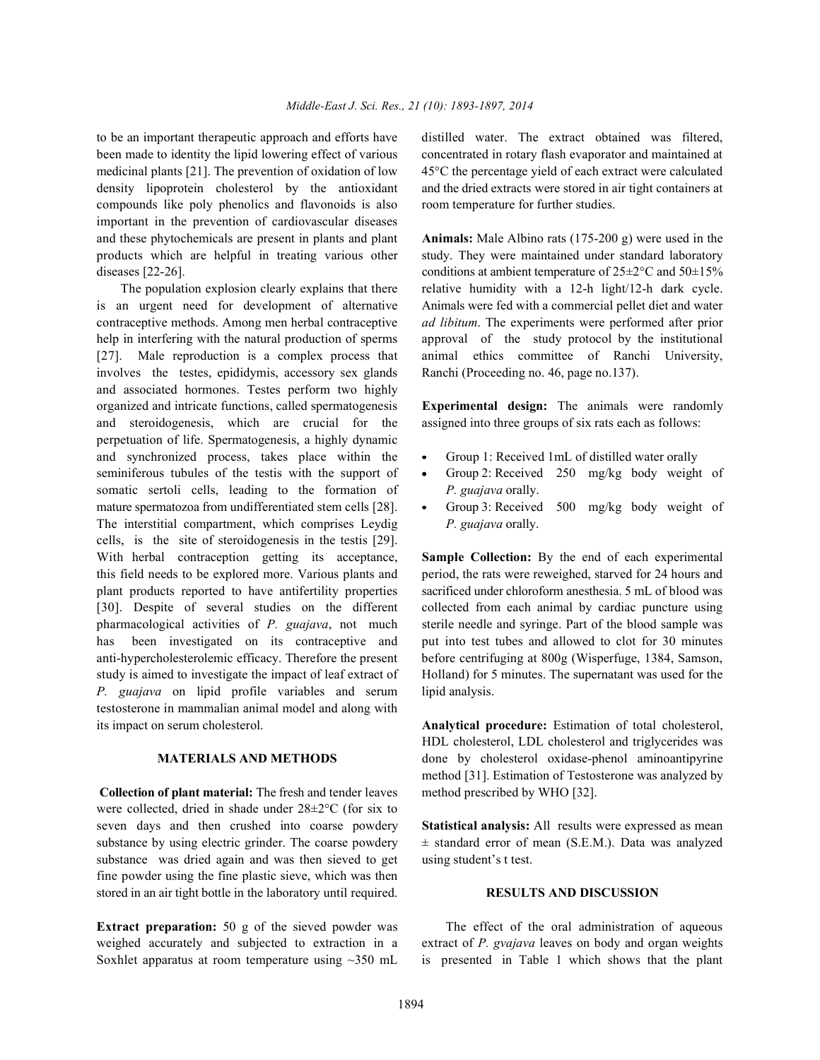been made to identity the lipid lowering effect of various concentrated in rotary flash evaporator and maintained at medicinal plants [21]. The prevention of oxidation of low 45°C the percentage yield of each extract were calculated density lipoprotein cholesterol by the antioxidant and the dried extracts were stored in air tight containers at compounds like poly phenolics and flavonoids is also room temperature for further studies. important in the prevention of cardiovascular diseases and these phytochemicals are present in plants and plant **Animals:** Male Albino rats (175-200 g) were used in the products which are helpful in treating various other study. They were maintained under standard laboratory diseases [22-26]. conditions at ambient temperature of  $25\pm2\degree$ C and  $50\pm15\%$ 

is an urgent need for development of alternative Animals were fed with a commercial pellet diet and water contraceptive methods. Among men herbal contraceptive *ad libitum*. The experiments were performed after prior help in interfering with the natural production of sperms approval of the study protocol by the institutional [27]. Male reproduction is a complex process that animal ethics committee of Ranchi University, involves the testes, epididymis, accessory sex glands Ranchi (Proceeding no. 46, page no.137). and associated hormones. Testes perform two highly organized and intricate functions, called spermatogenesis **Experimental design:** The animals were randomly and steroidogenesis, which are crucial for the assigned into three groups of six rats each as follows: perpetuation of life. Spermatogenesis, a highly dynamic and synchronized process, takes place within the • Group 1: Received 1mL of distilled water orally seminiferous tubules of the testis with the support of  $\bullet$  Group 2: Received 250 mg/kg body weight of somatic sertoli cells, leading to the formation of *P. guajava* orally. mature spermatozoa from undifferentiated stem cells [28]. • Group 3: Received 500 mg/kg body weight of The interstitial compartment, which comprises Leydig *P. guajava* orally. cells, is the site of steroidogenesis in the testis [29]. With herbal contraception getting its acceptance, **Sample Collection:** By the end of each experimental this field needs to be explored more. Various plants and period, the rats were reweighed, starved for 24 hours and plant products reported to have antifertility properties sacrificed under chloroform anesthesia. 5 mL of blood was [30]. Despite of several studies on the different collected from each animal by cardiac puncture using pharmacological activities of *P. guajava*, not much sterile needle and syringe. Part of the blood sample was has been investigated on its contraceptive and put into test tubes and allowed to clot for 30 minutes anti-hypercholesterolemic efficacy. Therefore the present before centrifuging at 800g (Wisperfuge, 1384, Samson, study is aimed to investigate the impact of leaf extract of Holland) for 5 minutes. The supernatant was used for the *P. guajava* on lipid profile variables and serum lipid analysis. testosterone in mammalian animal model and along with its impact on serum cholesterol. **Analytical procedure:** Estimation of total cholesterol,

**Collection of plant material:** The fresh and tender leaves method prescribed by WHO [32]. were collected, dried in shade under 28±2°C (for six to seven days and then crushed into coarse powdery **Statistical analysis:** All results were expressed as mean substance by using electric grinder. The coarse powdery  $\pm$  standard error of mean (S.E.M.). Data was analyzed substance was dried again and was then sieved to get using student's t test. fine powder using the fine plastic sieve, which was then stored in an air tight bottle in the laboratory until required. **RESULTS AND DISCUSSION**

to be an important therapeutic approach and efforts have distilled water. The extract obtained was filtered,

The population explosion clearly explains that there relative humidity with a 12-h light/12-h dark cycle.

- 
- 
- 

**MATERIALS AND METHODS** done by cholesterol oxidase-phenol aminoantipyrine HDL cholesterol, LDL cholesterol and triglycerides was method [31]. Estimation of Testosterone was analyzed by

**Extract preparation:** 50 g of the sieved powder was The effect of the oral administration of aqueous weighed accurately and subjected to extraction in a extract of *P. gvajava* leaves on body and organ weights Soxhlet apparatus at room temperature using ~350 mL is presented in Table 1 which shows that the plant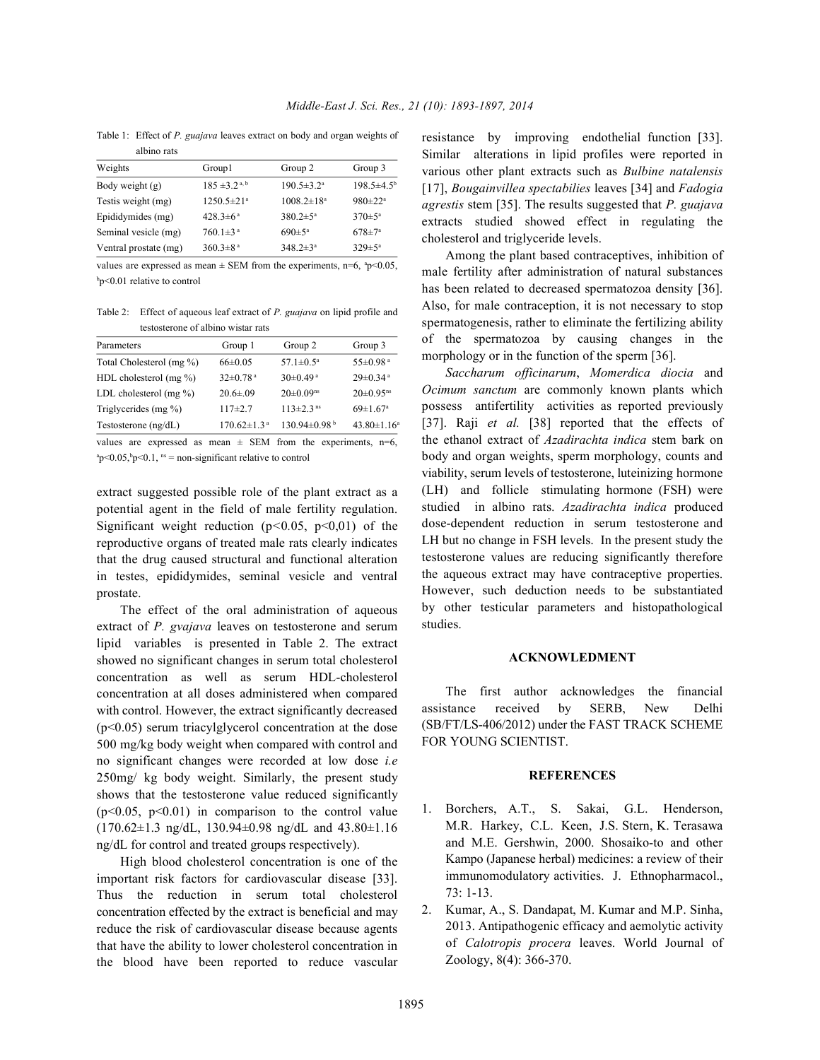Table 1: Effect of *P. guajava* leaves extract on body and organ weights of albino rats

| <u>ulullo tuto</u>    |                               |                         |                           |
|-----------------------|-------------------------------|-------------------------|---------------------------|
| Weights               | Group1                        | Group 2                 | Group 3                   |
| Body weight (g)       | $185 \pm 3.2$ <sup>a, b</sup> | $190.5 \pm 3.2^{\circ}$ | $198.5 \pm 4.5^{\circ}$   |
| Testis weight (mg)    | $1250.5 \pm 21$ <sup>a</sup>  | $1008.2 \pm 18^a$       | $980 \pm 22$ <sup>a</sup> |
| Epididymides (mg)     | $428.3 \pm 6^{\text{a}}$      | $380.2 \pm 5^{\circ}$   | $370 \pm 5^{\circ}$       |
| Seminal vesicle (mg)  | $760.1 \pm 3^{\text{a}}$      | $690 \pm 5^{\circ}$     | $678 + 7^a$               |
| Ventral prostate (mg) | $360.3 \pm 8^{\text{a}}$      | $348.2 \pm 3^a$         | $329 \pm 5^{\text{a}}$    |

values are expressed as mean  $\pm$  SEM from the experiments, n=6,  $^{a}p$  < 0.05,  $\mathrm{^{b}p}$ <0.01 relative to control

Table 2: Effect of aqueous leaf extract of *P. guajava* on lipid profile and testosterone of albino wistar rats

| Parameters                 | Group 1                       | Group 2                      | Group 3                     |
|----------------------------|-------------------------------|------------------------------|-----------------------------|
| Total Cholesterol (mg %)   | $66\pm0.05$                   | 57.1 $\pm$ 0.5 <sup>a</sup>  | $55 \pm 0.98$ <sup>a</sup>  |
| HDL cholesterol (mg %)     | $32 \pm 0.78$ <sup>a</sup>    | $30\pm0.49$ <sup>a</sup>     | $29 \pm 0.34$ <sup>a</sup>  |
| LDL cholesterol (mg $\%$ ) | $20.6 \pm 0.09$               | $20 \pm 0.09$ <sup>ns</sup>  | $20 \pm 0.95$ <sup>ns</sup> |
| Triglycerides (mg %)       | $117+2.7$                     | $113 \pm 2.3$ <sup>ns</sup>  | $69 \pm 1.67$ <sup>a</sup>  |
| Testosterone (ng/dL)       | $170.62 \pm 1.3$ <sup>a</sup> | $130.94\pm0.98$ <sup>b</sup> | $43.80 \pm 1.16^a$          |
|                            |                               |                              |                             |

values are expressed as mean  $\pm$  SEM from the experiments, n=6,  $\frac{a_p}{0.05}$ ,  $\frac{b_p}{0.1}$ ,  $\frac{b_s}{0.1}$  = non-significant relative to control

extract suggested possible role of the plant extract as a potential agent in the field of male fertility regulation. Significant weight reduction (p*<*0*.*05, p<0,01) of the reproductive organs of treated male rats clearly indicates that the drug caused structural and functional alteration in testes, epididymides, seminal vesicle and ventral prostate.

The effect of the oral administration of aqueous extract of *P. gvajava* leaves on testosterone and serum lipid variables is presented in Table 2. The extract showed no significant changes in serum total cholesterol concentration as well as serum HDL-cholesterol concentration at all doses administered when compared with control. However, the extract significantly decreased (p<0.05) serum triacylglycerol concentration at the dose 500 mg/kg body weight when compared with control and no significant changes were recorded at low dose *i.e* 250mg/ kg body weight. Similarly, the present study shows that the testosterone value reduced significantly  $(p<0.05, p<0.01)$  in comparison to the control value (170.62±1.3 ng/dL, 130.94±0.98 ng/dL and 43.80±1.16 ng/dL for control and treated groups respectively).

High blood cholesterol concentration is one of the important risk factors for cardiovascular disease [33]. Thus the reduction in serum total cholesterol concentration effected by the extract is beneficial and may reduce the risk of cardiovascular disease because agents that have the ability to lower cholesterol concentration in the blood have been reported to reduce vascular

resistance by improving endothelial function [33]. Similar alterations in lipid profiles were reported in various other plant extracts such as *Bulbine natalensis* [17], *Bougainvillea spectabilies* leaves [34] and *Fadogia agrestis* stem [35]. The results suggested that *P. guajava* extracts studied showed effect in regulating the cholesterol and triglyceride levels.

Among the plant based contraceptives, inhibition of male fertility after administration of natural substances has been related to decreased spermatozoa density [36]. Also, for male contraception, it is not necessary to stop spermatogenesis, rather to eliminate the fertilizing ability of the spermatozoa by causing changes in the morphology or in the function of the sperm [36].

*Saccharum officinarum*, *Momerdica diocia* and *Ocimum sanctum* are commonly known plants which possess antifertility activities as reported previously [37]. Raji *et al.* [38] reported that the effects of the ethanol extract of *Azadirachta indica* stem bark on body and organ weights, sperm morphology, counts and viability, serum levels of testosterone, luteinizing hormone (LH) and follicle stimulating hormone (FSH) were studied in albino rats. *Azadirachta indica* produced dose-dependent reduction in serum testosterone and LH but no change in FSH levels. In the present study the testosterone values are reducing significantly therefore the aqueous extract may have contraceptive properties. However, such deduction needs to be substantiated by other testicular parameters and histopathological studies.

### **ACKNOWLEDMENT**

The first author acknowledges the financial assistance received by SERB, New Delhi (SB/FT/LS-406/2012) under the FAST TRACK SCHEME FOR YOUNG SCIENTIST.

## **REFERENCES**

- 1. Borchers, A.T., S. Sakai, G.L. Henderson, M.R. Harkey, C.L. Keen, J.S. Stern, K. Terasawa and M.E. Gershwin, 2000. Shosaiko-to and other Kampo (Japanese herbal) medicines: a review of their immunomodulatory activities. J. Ethnopharmacol., 73: 1-13.
- 2. Kumar, A., S. Dandapat, M. Kumar and M.P. Sinha, 2013. Antipathogenic efficacy and aemolytic activity of *Calotropis procera* leaves. World Journal of Zoology, 8(4): 366-370.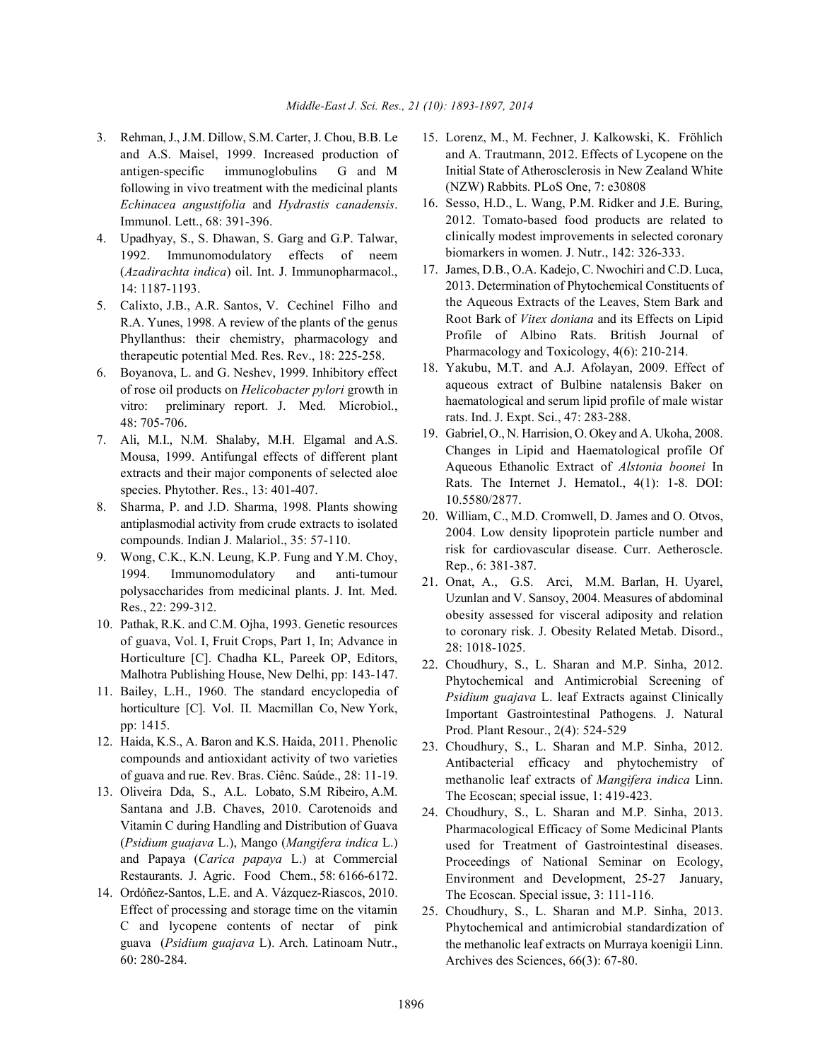- and A.S. Maisel, 1999. Increased production of antigen-specific immunoglobulins G and M following in vivo treatment with the medicinal plants *Echinacea angustifolia* and *Hydrastis canadensis*. Immunol. Lett., 68: 391-396.
- 4. Upadhyay, S., S. Dhawan, S. Garg and G.P. Talwar, 1992. Immunomodulatory effects of neem (*Azadirachta indica*) oil. Int. J. Immunopharmacol., 14: 1187-1193.
- 5. Calixto, J.B., A.R. Santos, V. Cechinel Filho and R.A. Yunes, 1998. A review of the plants of the genus Phyllanthus: their chemistry, pharmacology and therapeutic potential Med. Res. Rev., 18: 225-258.
- 6. Boyanova, L. and G. Neshev, 1999. Inhibitory effect of rose oil products on *Helicobacter pylori* growth in vitro: preliminary report. J. Med. Microbiol., 48: 705-706.
- 7. Ali, M.I., N.M. Shalaby, M.H. Elgamal and A.S. Mousa, 1999. Antifungal effects of different plant extracts and their major components of selected aloe species. Phytother. Res., 13: 401-407.
- 8. Sharma, P. and J.D. Sharma, 1998. Plants showing antiplasmodial activity from crude extracts to isolated compounds. Indian J. Malariol., 35: 57-110.
- 9. Wong, C.K., K.N. Leung, K.P. Fung and Y.M. Choy, 1994. Immunomodulatory and anti-tumour polysaccharides from medicinal plants. J. Int. Med. Res., 22: 299-312.
- 10. Pathak, R.K. and C.M. Ojha, 1993. Genetic resources of guava, Vol. I, Fruit Crops, Part 1, In; Advance in Horticulture [C]. Chadha KL, Pareek OP, Editors, Malhotra Publishing House, New Delhi, pp: 143-147.
- 11. Bailey, L.H., 1960. The standard encyclopedia of horticulture [C]. Vol. II. Macmillan Co, New York, pp: 1415.
- 12. Haida, K.S., A. Baron and K.S. Haida, 2011. Phenolic compounds and antioxidant activity of two varieties of guava and rue. Rev. Bras. Ciênc. Saúde., 28: 11-19.
- 13. Oliveira Dda, S., A.L. Lobato, S.M Ribeiro, A.M. Santana and J.B. Chaves, 2010. Carotenoids and Vitamin C during Handling and Distribution of Guava (*Psidium guajava* L.), Mango (*Mangifera indica* L.) and Papaya (*Carica papaya* L.) at Commercial Restaurants. J. Agric. Food Chem., 58: 6166-6172.
- 14. Ordóñez-Santos, L.E. and A. Vázquez-Riascos, 2010. Effect of processing and storage time on the vitamin C and lycopene contents of nectar of pink guava (*Psidium guajava* L). Arch. Latinoam Nutr., 60: 280-284.
- 3. Rehman, J., J.M. Dillow, S.M. Carter, J. Chou, B.B. Le 15. Lorenz, M., M. Fechner, J. Kalkowski, K. Fröhlich and A. Trautmann, 2012. Effects of Lycopene on the Initial State of Atherosclerosis in New Zealand White (NZW) Rabbits. PLoS One, 7: e30808
	- 16. Sesso, H.D., L. Wang, P.M. Ridker and J.E. Buring, 2012. Tomato-based food products are related to clinically modest improvements in selected coronary biomarkers in women. J. Nutr., 142: 326-333.
	- 17. James, D.B., O.A. Kadejo, C. Nwochiri and C.D. Luca, 2013. Determination of Phytochemical Constituents of the Aqueous Extracts of the Leaves, Stem Bark and Root Bark of *Vitex doniana* and its Effects on Lipid Profile of Albino Rats. British Journal of Pharmacology and Toxicology, 4(6): 210-214.
	- 18. Yakubu, M.T. and A.J. Afolayan, 2009. Effect of aqueous extract of Bulbine natalensis Baker on haematological and serum lipid profile of male wistar rats. Ind. J. Expt. Sci., 47: 283-288.
	- 19. Gabriel, O., N. Harrision, O. Okey and A. Ukoha, 2008. Changes in Lipid and Haematological profile Of Aqueous Ethanolic Extract of *Alstonia boonei* In Rats. The Internet J. Hematol., 4(1): 1-8. DOI: 10.5580/2877.
	- 20. William, C., M.D. Cromwell, D. James and O. Otvos, 2004. Low density lipoprotein particle number and risk for cardiovascular disease. Curr. Aetheroscle. Rep., 6: 381-387.
	- 21. Onat, A., G.S. Arci, M.M. Barlan, H. Uyarel, Uzunlan and V. Sansoy, 2004. Measures of abdominal obesity assessed for visceral adiposity and relation to coronary risk. J. Obesity Related Metab. Disord., 28: 1018-1025.
	- 22. Choudhury, S., L. Sharan and M.P. Sinha, 2012. Phytochemical and Antimicrobial Screening of *Psidium guajava* L. leaf Extracts against Clinically Important Gastrointestinal Pathogens. J. Natural Prod. Plant Resour., 2(4): 524-529
	- 23. Choudhury, S., L. Sharan and M.P. Sinha, 2012. Antibacterial efficacy and phytochemistry of methanolic leaf extracts of *Mangifera indica* Linn. The Ecoscan; special issue, 1: 419-423.
	- 24. Choudhury, S., L. Sharan and M.P. Sinha, 2013. Pharmacological Efficacy of Some Medicinal Plants used for Treatment of Gastrointestinal diseases. Proceedings of National Seminar on Ecology, Environment and Development, 25-27 January, The Ecoscan. Special issue, 3: 111-116.
	- 25. Choudhury, S., L. Sharan and M.P. Sinha, 2013. Phytochemical and antimicrobial standardization of the methanolic leaf extracts on Murraya koenigii Linn. Archives des Sciences, 66(3): 67-80.